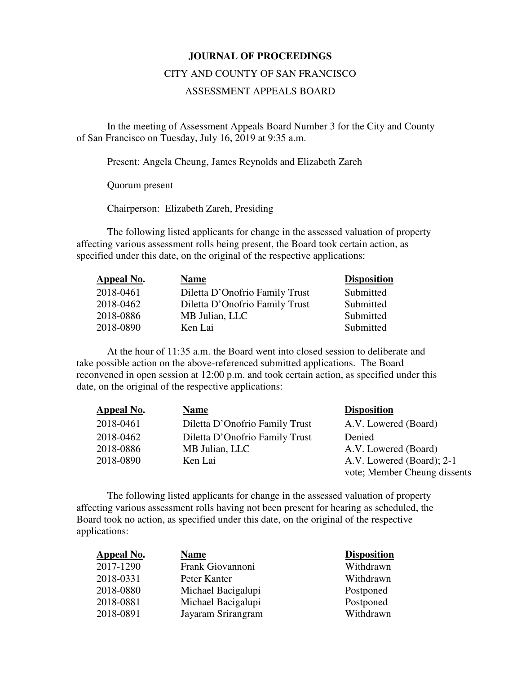## **JOURNAL OF PROCEEDINGS**

## CITY AND COUNTY OF SAN FRANCISCO

## ASSESSMENT APPEALS BOARD

 In the meeting of Assessment Appeals Board Number 3 for the City and County of San Francisco on Tuesday, July 16, 2019 at 9:35 a.m.

Present: Angela Cheung, James Reynolds and Elizabeth Zareh

Quorum present

Chairperson: Elizabeth Zareh, Presiding

The following listed applicants for change in the assessed valuation of property affecting various assessment rolls being present, the Board took certain action, as specified under this date, on the original of the respective applications:

| <b>Appeal No.</b> | <b>Name</b>                    | <b>Disposition</b> |
|-------------------|--------------------------------|--------------------|
| 2018-0461         | Diletta D'Onofrio Family Trust | Submitted          |
| 2018-0462         | Diletta D'Onofrio Family Trust | Submitted          |
| 2018-0886         | MB Julian, LLC                 | Submitted          |
| 2018-0890         | Ken Lai                        | Submitted          |

At the hour of 11:35 a.m. the Board went into closed session to deliberate and take possible action on the above-referenced submitted applications. The Board reconvened in open session at 12:00 p.m. and took certain action, as specified under this date, on the original of the respective applications:

| Appeal No. | <b>Name</b>                    | <b>Disposition</b>           |
|------------|--------------------------------|------------------------------|
| 2018-0461  | Diletta D'Onofrio Family Trust | A.V. Lowered (Board)         |
| 2018-0462  | Diletta D'Onofrio Family Trust | Denied                       |
| 2018-0886  | MB Julian, LLC                 | A.V. Lowered (Board)         |
| 2018-0890  | Ken Lai                        | A.V. Lowered (Board); 2-1    |
|            |                                | vote; Member Cheung dissents |

The following listed applicants for change in the assessed valuation of property affecting various assessment rolls having not been present for hearing as scheduled, the Board took no action, as specified under this date, on the original of the respective applications:

| <b>Appeal No.</b> | <b>Name</b>        | <b>Disposition</b> |
|-------------------|--------------------|--------------------|
| 2017-1290         | Frank Giovannoni   | Withdrawn          |
| 2018-0331         | Peter Kanter       | Withdrawn          |
| 2018-0880         | Michael Bacigalupi | Postponed          |
| 2018-0881         | Michael Bacigalupi | Postponed          |
| 2018-0891         | Jayaram Srirangram | Withdrawn          |